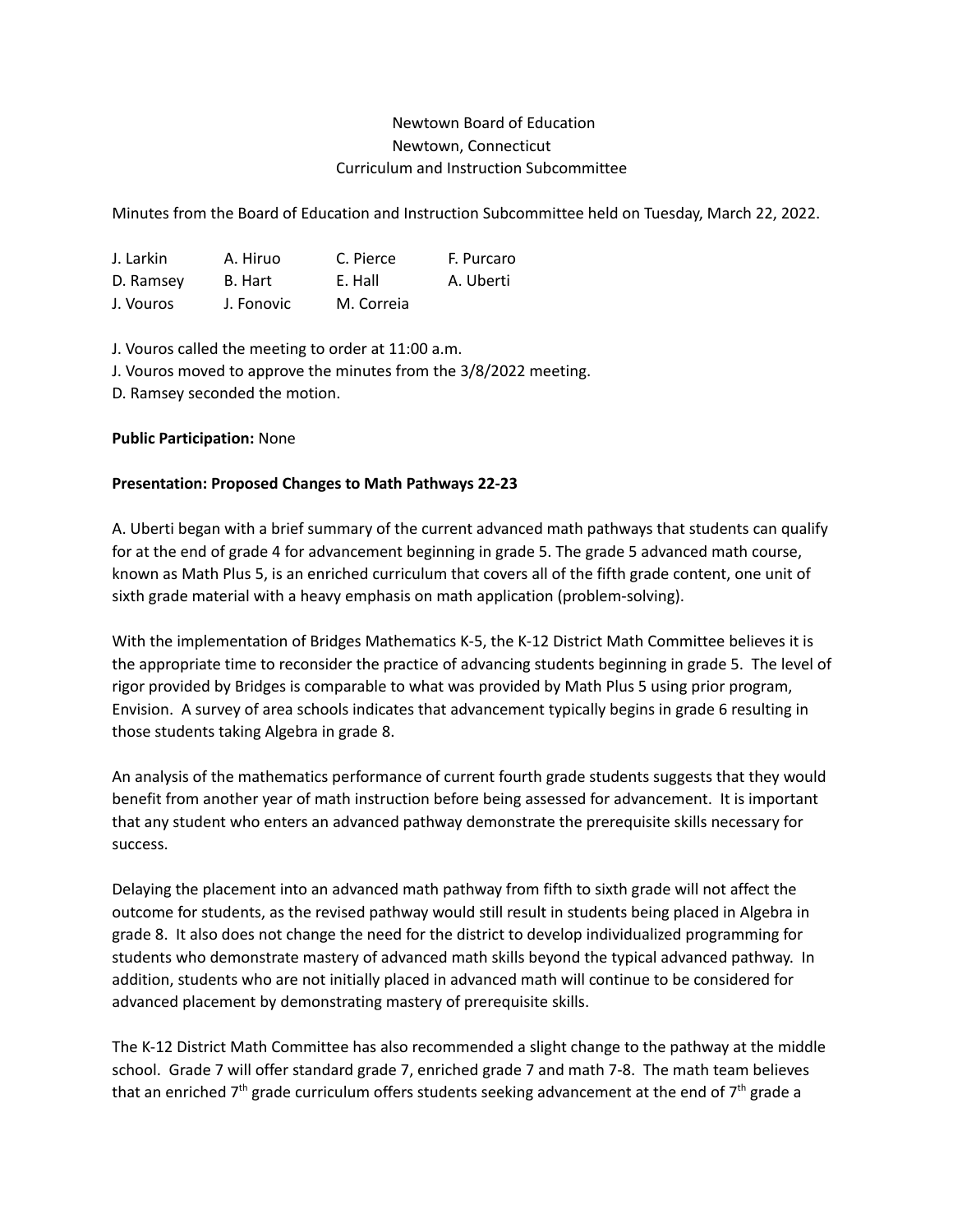## Newtown Board of Education Newtown, Connecticut Curriculum and Instruction Subcommittee

Minutes from the Board of Education and Instruction Subcommittee held on Tuesday, March 22, 2022.

| J. Larkin | A. Hiruo   | C. Pierce  | F. Purcaro |
|-----------|------------|------------|------------|
| D. Ramsey | B. Hart    | E. Hall    | A. Uberti  |
| J. Vouros | J. Fonovic | M. Correia |            |

J. Vouros called the meeting to order at 11:00 a.m.

J. Vouros moved to approve the minutes from the 3/8/2022 meeting.

D. Ramsey seconded the motion.

## **Public Participation:** None

## **Presentation: Proposed Changes to Math Pathways 22-23**

A. Uberti began with a brief summary of the current advanced math pathways that students can qualify for at the end of grade 4 for advancement beginning in grade 5. The grade 5 advanced math course, known as Math Plus 5, is an enriched curriculum that covers all of the fifth grade content, one unit of sixth grade material with a heavy emphasis on math application (problem-solving).

With the implementation of Bridges Mathematics K-5, the K-12 District Math Committee believes it is the appropriate time to reconsider the practice of advancing students beginning in grade 5. The level of rigor provided by Bridges is comparable to what was provided by Math Plus 5 using prior program, Envision. A survey of area schools indicates that advancement typically begins in grade 6 resulting in those students taking Algebra in grade 8.

An analysis of the mathematics performance of current fourth grade students suggests that they would benefit from another year of math instruction before being assessed for advancement. It is important that any student who enters an advanced pathway demonstrate the prerequisite skills necessary for success.

Delaying the placement into an advanced math pathway from fifth to sixth grade will not affect the outcome for students, as the revised pathway would still result in students being placed in Algebra in grade 8. It also does not change the need for the district to develop individualized programming for students who demonstrate mastery of advanced math skills beyond the typical advanced pathway. In addition, students who are not initially placed in advanced math will continue to be considered for advanced placement by demonstrating mastery of prerequisite skills.

The K-12 District Math Committee has also recommended a slight change to the pathway at the middle school. Grade 7 will offer standard grade 7, enriched grade 7 and math 7-8. The math team believes that an enriched 7<sup>th</sup> grade curriculum offers students seeking advancement at the end of 7<sup>th</sup> grade a